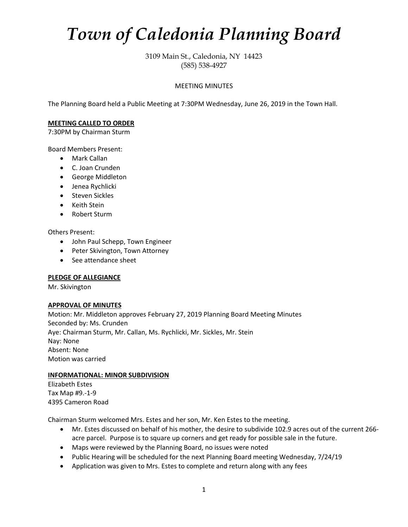# *Town of Caledonia Planning Board*

3109 Main St., Caledonia, NY 14423 (585) 538-4927

# MEETING MINUTES

The Planning Board held a Public Meeting at 7:30PM Wednesday, June 26, 2019 in the Town Hall.

#### **MEETING CALLED TO ORDER**

7:30PM by Chairman Sturm

Board Members Present:

- Mark Callan
- C. Joan Crunden
- George Middleton
- Jenea Rychlicki
- Steven Sickles
- Keith Stein
- Robert Sturm

Others Present:

- John Paul Schepp, Town Engineer
- Peter Skivington, Town Attorney
- See attendance sheet

#### **PLEDGE OF ALLEGIANCE**

Mr. Skivington

#### **APPROVAL OF MINUTES**

Motion: Mr. Middleton approves February 27, 2019 Planning Board Meeting Minutes Seconded by: Ms. Crunden Aye: Chairman Sturm, Mr. Callan, Ms. Rychlicki, Mr. Sickles, Mr. Stein Nay: None Absent: None Motion was carried

## **INFORMATIONAL: MINOR SUBDIVISION**

Elizabeth Estes Tax Map #9.-1-9 4395 Cameron Road

Chairman Sturm welcomed Mrs. Estes and her son, Mr. Ken Estes to the meeting.

- Mr. Estes discussed on behalf of his mother, the desire to subdivide 102.9 acres out of the current 266 acre parcel. Purpose is to square up corners and get ready for possible sale in the future.
- Maps were reviewed by the Planning Board, no issues were noted
- Public Hearing will be scheduled for the next Planning Board meeting Wednesday, 7/24/19
- Application was given to Mrs. Estes to complete and return along with any fees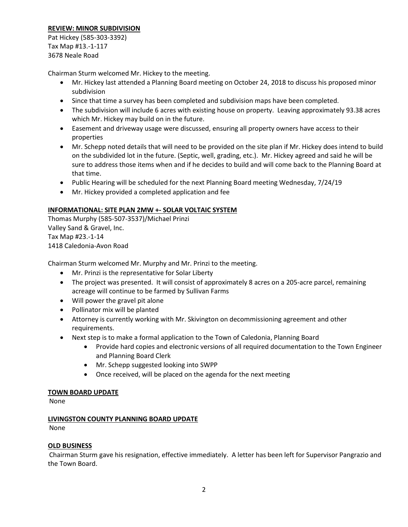# **REVIEW: MINOR SUBDIVISION**

Pat Hickey (585-303-3392) Tax Map #13.-1-117 3678 Neale Road

Chairman Sturm welcomed Mr. Hickey to the meeting.

- Mr. Hickey last attended a Planning Board meeting on October 24, 2018 to discuss his proposed minor subdivision
- Since that time a survey has been completed and subdivision maps have been completed.
- The subdivision will include 6 acres with existing house on property. Leaving approximately 93.38 acres which Mr. Hickey may build on in the future.
- Easement and driveway usage were discussed, ensuring all property owners have access to their properties
- Mr. Schepp noted details that will need to be provided on the site plan if Mr. Hickey does intend to build on the subdivided lot in the future. (Septic, well, grading, etc.). Mr. Hickey agreed and said he will be sure to address those items when and if he decides to build and will come back to the Planning Board at that time.
- Public Hearing will be scheduled for the next Planning Board meeting Wednesday, 7/24/19
- Mr. Hickey provided a completed application and fee

# **INFORMATIONAL: SITE PLAN 2MW +- SOLAR VOLTAIC SYSTEM**

Thomas Murphy (585-507-3537)/Michael Prinzi Valley Sand & Gravel, Inc. Tax Map #23.-1-14 1418 Caledonia-Avon Road

Chairman Sturm welcomed Mr. Murphy and Mr. Prinzi to the meeting.

- Mr. Prinzi is the representative for Solar Liberty
- The project was presented. It will consist of approximately 8 acres on a 205-acre parcel, remaining acreage will continue to be farmed by Sullivan Farms
- Will power the gravel pit alone
- Pollinator mix will be planted
- Attorney is currently working with Mr. Skivington on decommissioning agreement and other requirements.
- Next step is to make a formal application to the Town of Caledonia, Planning Board
	- Provide hard copies and electronic versions of all required documentation to the Town Engineer and Planning Board Clerk
	- Mr. Schepp suggested looking into SWPP
	- Once received, will be placed on the agenda for the next meeting

## **TOWN BOARD UPDATE**

None

# **LIVINGSTON COUNTY PLANNING BOARD UPDATE**

None

## **OLD BUSINESS**

Chairman Sturm gave his resignation, effective immediately. A letter has been left for Supervisor Pangrazio and the Town Board.